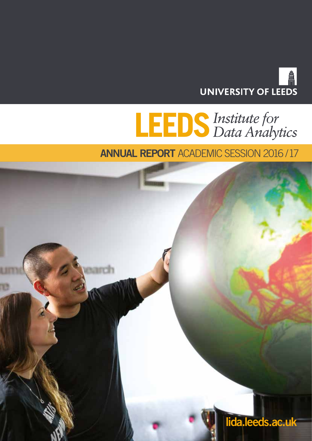

# **LEDS** Institute for<br>Data Analytics

**ANNUAL REPORT** ACADEMIC SESSION 2016 / 17

min

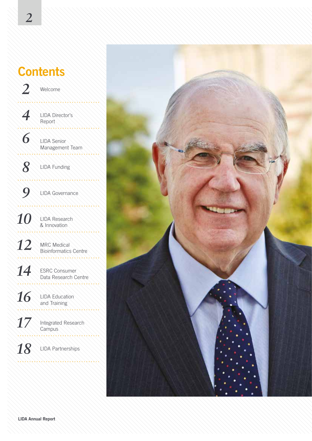### **Contents** *2* Welcome *4* LIDA Director's Report  *6* LIDA Senior Management Team 772777777777 *8* LIDA Funding *9* LIDA Governance 10 LIDA Research 12 MRC Medical Bioinformatics Centre 8888888888 14 ESRC Consumer Data Research Centre 16 LIDA Education and Training 17 Integrated Research 18 LIDA Partnerships



**LIDA Annual Report**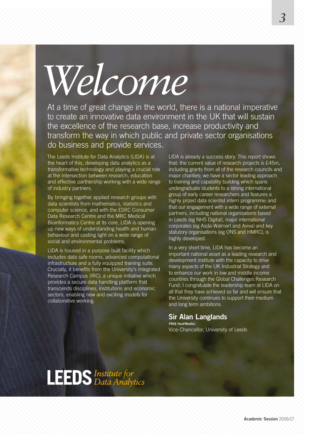*Welcome*

At a time of great change in the world, there is a national imperative to create an innovative data environment in the UK that will sustain the excellence of the research base, increase productivity and transform the way in which public and private sector organisations do business and provide services.

The Leeds Institute for Data Analytics (LIDA) is at the heart of this, developing data analytics as a transformative technology and playing a crucial role at the intersection between research, education and effective partnership working with a wide range of industry partners.

By bringing together applied research groups with data scientists from mathematics, statistics and computer science, and with the ESRC Consumer Data Research Centre and the MRC Medical Bioinformatics Centre at its core, LIDA is opening up new ways of understanding health and human behaviour and casting light on a wide range of social and environmental problems.

LIDA is housed in a purpose built facility which includes data safe rooms, advanced computational infrastructure and a fully equipped training suite. Crucially, it benefits from the University's Integrated Research Campus (IRC), a unique initiative which provides a secure data handling platform that transcends disciplines, institutions and economic sectors, enabling new and exciting models for collaborative working.

LIDA is already a success story. This report shows that: the current value of research projects is £45m, including grants from all of the research councils and major charities; we have a sector leading approach to training and capability building which spans undergraduate students to a strong international group of early career researchers and features a highly prized data scientist intern programme; and that our engagement with a wide range of external partners, including national organisations based in Leeds (eg NHS Digital), major international corporates (eg Asda-Walmart and Aviva) and key statutory organisations (eg ONS and HMRC), is highly developed.

In a very short time, LIDA has become an important national asset as a leading research and development institute with the capacity to drive many aspects of the UK Industrial Strategy and to enhance our work in low and middle income countries through the Global Challenges Research Fund. I congratulate the leadership team at LIDA on all that they have achieved so far and will ensure that the University continues to support their medium and long term ambitions.

### **Sir Alan Langlands**

**FRSE HonFMedSci** Vice-Chancellor, University of Leeds

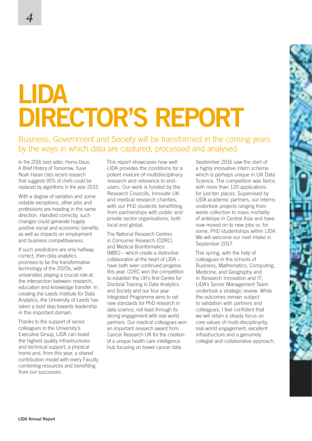# **LIDA DIRECTOR'S REPORT**

Business, Government and Society will be transformed in the coming years by the ways in which data are captured, processed and analysed.

In the 2016 best seller, Homo Deus: A Brief History of Tomorrow, Yuval Noah Harari cites recent research that suggests 95% of chefs could be replaced by algorithms in the year 2033.

With a degree of variation and some notable exceptions, other jobs and professions are heading in the same direction. Handled correctly, such changes could generate hugely positive social and economic benefits as well as impacts on employment and business competitiveness.

If such predictions are only halfway correct, then data analytics promises to be the transformative technology of the 2020s, with universities playing a crucial role at the intersection between research, education and knowledge transfer. In creating the Leeds Institute for Data Analytics, the University of Leeds has taken a bold step towards leadership in this important domain.

Thanks to the support of senior colleagues in the University's Executive Group, LIDA can boast the highest quality infrastructures and technical support, a physical home and, from this year, a shared contribution model with every Faculty combining resources and benefiting from our successes.

This report showcases how well LIDA provides the conditions for a potent mixture of multidisciplinary research and relevance to endusers. Our work is funded by the Research Councils, Innovate UK and medical research charities, with our PhD students benefitting from partnerships with public and private sector organisations, both local and global.

The National Research Centres in Consumer Research (CDRC) and Medical Bioinformatics (MBC) – which create a distinctive collaboration at the heart of LIDA – have both seen continued progress this year. CDRC won the competition to establish the UK's first Centre for Doctoral Training in Data Analytics and Society and our four year Integrated Programme aims to set new standards for PhD research in data science, not least through its strong engagement with real world partners. Our medical colleagues won an important research award from Cancer Research UK for the creation of a unique health care intelligence hub focusing on bowel cancer data.

September 2016 saw the start of a highly innovative intern scheme which is perhaps unique in UK Data Science. The competition was fierce, with more than 120 applications for just ten places. Supervised by LIDA academic partners, our interns undertook projects ranging from waste collection to mass mortality of antelope in Central Asia and have now moved on to new jobs or, for some, PhD studentships within LIDA. We will welcome our next intake in September 2017.

This spring, with the help of colleagues in the schools of Business, Mathematics, Computing, Medicine, and Geography and in Research Innovation and IT, LIDA's Senior Management Team undertook a strategic review. While the outcomes remain subject to validation with partners and colleagues, I feel confident that we will retain a steady focus on core values of multi-disciplinarity, real world engagement, excellent infrastructure and a genuinely collegial and collaborative approach.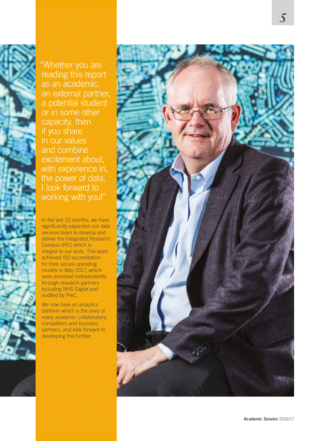"Whether you are reading this report as an academic, an external partner, a potential student or in some other capacity, then if you share in our values and combine excitement about, with experience in, the power of data, I look forward to working with you!"

In the last 12 months, we have significantly expanded our data services team to develop and deliver the Integrated Research Campus (IRC) which is integral to our work. This team achieved ISO accreditation for their secure operating models in May 2017, which were assessed independently through research partners including NHS Digital and audited by PwC.

We now have an analytics platform which is the envy of many academic collaborators, competitors and business partners, and look forward to developing this further.

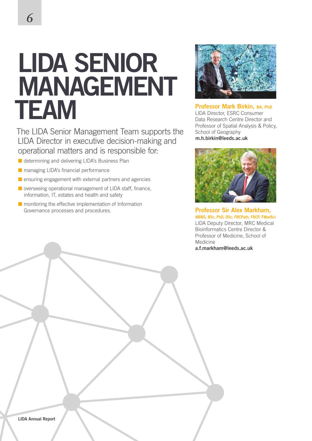## **LIDA SENIOR MANAGEMENT TEAM**

The LIDA Senior Management Team supports the LIDA Director in executive decision-making and operational matters and is responsible for:

- $\blacksquare$  determining and delivering LIDA's Business Plan
- $\blacksquare$  managing LIDA's financial performance
- $\blacksquare$  ensuring engagement with external partners and agencies
- $\blacksquare$  overseeing operational management of LIDA staff, finance, information, IT, estates and health and safety
- $\blacksquare$  monitoring the effective implementation of Information Governance processes and procedures.



**Professor Mark Birkin, BA, PhD** LIDA Director, ESRC Consumer Data Research Centre Director and Professor of Spatial Analysis & Policy, School of Geography **m.h.birkin@leeds.ac.uk**



**Professor Sir Alex Markham, MBBS, BSc, PhD, DSc, FRCPath, FRCP, FMedSci** LIDA Deputy Director, MRC Medical Bioinformatics Centre Director & Professor of Medicine, School of Medicine **a.f.markham@leeds.ac.uk**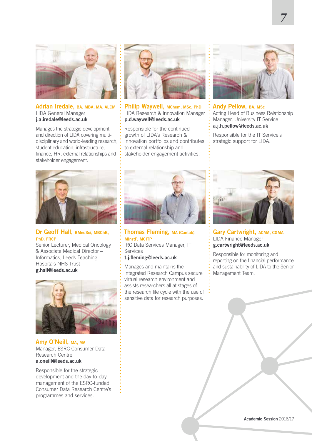

#### **Adrian Iredale, BA, MBA, MA, ALCM** LIDA General Manager **j.a.iredale@leeds.ac.uk**

Manages the strategic development and direction of LIDA covering multidisciplinary and world-leading research, student education, infrastructure, finance, HR, external relationships and stakeholder engagement.



**Philip Waywell, MChem, MSc, PhD** LIDA Research & Innovation Manager **p.d.waywell@leeds.ac.uk**

Responsible for the continued growth of LIDA's Research & Innovation portfolios and contributes to external relationship and stakeholder engagement activities.



*7*

**Andy Pellow, BA, MSc** Acting Head of Business Relationship Manager, University IT Service **a.j.h.pellow@leeds.ac.uk**

Responsible for the IT Service's strategic support for LIDA.



#### **Dr Geoff Hall, BMedSci, MBChB, PhD, FRCP**

Senior Lecturer, Medical Oncology & Associate Medical Director – Informatics, Leeds Teaching Hospitals NHS Trust **g.hall@leeds.ac.uk**



**Amy O'Neill, MA, MA** Manager, ESRC Consumer Data Research Centre **a.oneill@leeds.ac.uk**

Responsible for the strategic development and the day-to-day management of the ESRC-funded Consumer Data Research Centre's programmes and services.



**Thomas Fleming, MA (Cantab), MInstP, MCITP**

IRC Data Services Manager, IT Services

#### **t.j.fleming@leeds.ac.uk**

Manages and maintains the Integrated Research Campus secure virtual research environment and assists researchers all at stages of the research life cycle with the use of  $\ddot{\cdot}$ sensitive data for research purposes.



**Gary Cartwright, ACMA, CGMA** LIDA Finance Manager **g.cartwright@leeds.ac.uk**

Responsible for monitoring and reporting on the financial performance and sustainability of LIDA to the Senior Management Team.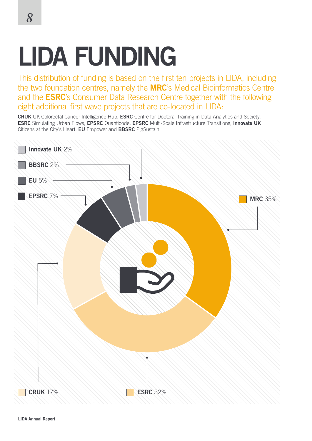# **LIDA FUNDING**

This distribution of funding is based on the first ten projects in LIDA, including the two foundation centres, namely the **MRC**'s Medical Bioinformatics Centre and the **ESRC**'s Consumer Data Research Centre together with the following eight additional first wave projects that are co-located in LIDA:

**CRUK** UK Colorectal Cancer Intelligence Hub, **ESRC** Centre for Doctoral Training in Data Analytics and Society, **ESRC** Simulating Urban Flows, **EPSRC** Quanticode, **EPSRC** Multi-Scale Infrastructure Transitions, **Innovate UK** Citizens at the City's Heart, **EU** Empower and **BBSRC** PigSustain

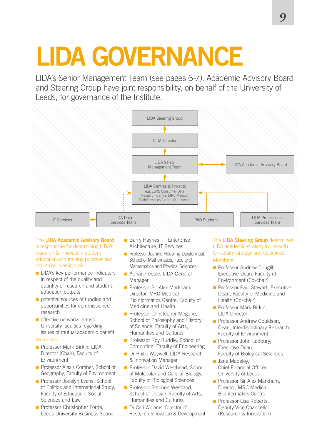# **LIDA GOVERNANCE**

LIDA's Senior Management Team (see pages 6-7), Academic Advisory Board and Steering Group have joint responsibility, on behalf of the University of Leeds, for governance of the Institute.



The **LIDA Academic Advisory Board** is responsible for determining LIDA's research & innovation, student education and training priorities and maintains oversight of:

- $\blacksquare$  LIDA's key performance indicators in respect of the quality and quantity of research and student education outputs
- $\blacksquare$  potential sources of funding and opportunities for commissioned research
- $\blacksquare$  effective networks across University faculties regarding issues of mutual academic benefit.

#### Members:

- **n** Professor Mark Birkin, LIDA Director (Chair), Faculty of Environment
- **n** Professor Alexis Comber, School of Geography, Faculty of Environment
- **n** Professor Jocelyn Evans, School of Politics and International Study, Faculty of Education, Social Sciences and Law
- $\blacksquare$  Professor Christopher Forde, Leeds University Business School
- **Barry Haynes, IT Enterprise** Architecture, IT Services
- **n** Professor Jeanine Houwing-Duistermaat, School of Mathematics, Faculty of Mathematics and Physical Sciences
- **n** Adrian Iredale, LIDA General Manager
- **n** Professor Sir Alex Markham, Director, MRC Medical Bioinformatics Centre, Faculty of Medicine and Health
- **n** Professor Christopher Megone, School of Philosophy and History of Science, Faculty of Arts, Humanities and Cultures
- **n** Professor Roy Ruddle, School of Computing, Faculty of Engineering
- **n** Dr Philip Waywell, LIDA Research & Innovation Manager
- **n** Professor David Westhead, School of Molecular and Cellular Biology, Faculty of Biological Sciences
- n Professor Stephen Westland, School of Design, Faculty of Arts, Humanities and Cultures
- **n** Dr Ceri Williams, Director of Research Innovation & Development

The **LIDA Steering Group** determines LIDA academic strategy in line with University strategy and objectives. Members:

- **n** Professor Andrew Dougill, Executive Dean, Faculty of Environment (Co-chair)
- **n** Professor Paul Stewart, Executive Dean, Faculty of Medicine and Health (Co-chair)
- **n** Professor Mark Birkin LIDA Director
- **n** Professor Andrew Gouldson, Dean, Interdisciplinary Research, Faculty of Environment
- **n** Professor John Ladbury, Executive Dean, Faculty of Biological Sciences
- **n** Jane Madeley. Chief Financial Officer, University of Leeds
- n Professor Sir Alex Markham, Director, MRC Medical Bioinformatics Centre
- $\blacksquare$  Professor Lisa Roberts, Deputy Vice Chancellor (Research & Innovation)

*9*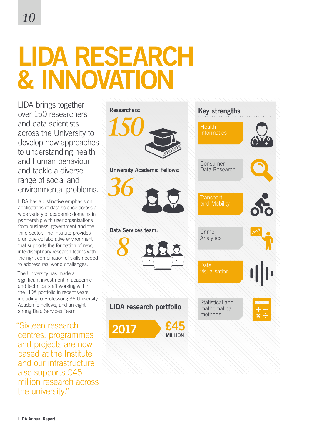## **LIDA RESEARCH & INNOVATIO**

LIDA brings together over 150 researchers and data scientists across the University to develop new approaches to understanding health and human behaviour and tackle a diverse range of social and environmental problems.

LIDA has a distinctive emphasis on applications of data science across a wide variety of academic domains in partnership with user organisations from business, government and the third sector. The Institute provides a unique collaborative environment that supports the formation of new, interdisciplinary research teams with the right combination of skills needed to address real world challenges.

The University has made a significant investment in academic and technical staff working within the LIDA portfolio in recent years, including: 6 Professors; 36 University Academic Fellows; and an eightstrong Data Services Team.

"Sixteen research centres, programmes and projects are now based at the Institute and our infrastructure also supports £45 million research across the university."

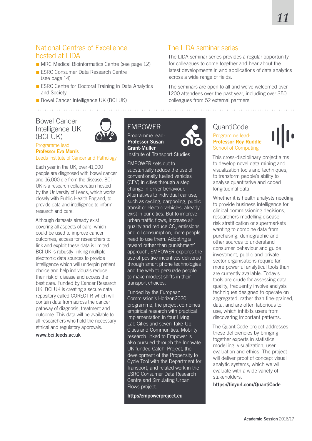### National Centres of Excellence hosted at LIDA

- $\blacksquare$  MRC Medical Bioinformatics Centre (see page 12)
- **n** ESRC Consumer Data Research Centre (see page 14)
- **E ESRC Centre for Doctoral Training in Data Analytics** and Society
- **Bowel Cancer Intelligence UK (BCI UK)**

### Bowel Cancer Intelligence UK (BCI UK)



#### Programme lead **Professor Eva Morris** Leeds Institute of Cancer and Pathology

Each year in the UK, over 41,000 people are diagnosed with bowel cancer and 16,000 die from the disease. BCI UK is a research collaboration hosted by the University of Leeds, which works closely with Public Health England, to provide data and intelligence to inform research and care.

Although datasets already exist covering all aspects of care, which could be used to improve cancer outcomes, access for researchers to link and exploit these data is limited. BCI UK is robustly linking multiple electronic data sources to provide intelligence which will underpin patient choice and help individuals reduce their risk of disease and access the best care. Funded by Cancer Research UK, BCI UK is creating a secure data repository called CORECT-R which will contain data from across the cancer pathway of diagnosis, treatment and outcome. This data will be available to all researchers who hold the necessary ethical and regulatory approvals.

**www.bci.leeds.ac.uk**

### EMPOWER

Programme lead: **Professor Susan Grant-Muller**

a dia ara-dia ara-dia a

Institute of Transport Studies

EMPOWER sets out to substantially reduce the use of conventionally fuelled vehicles (CFV) in cities through a step change in driver behaviour. Alternatives to individual car use, such as cycling, carpooling, public transit or electric vehicles, already exist in our cities. But to improve urban traffic flows, increase air quality and reduce CO<sub>2</sub> emissions and oil consumption, more people need to use them. Adopting a 'reward rather than punishment' approach, EMPOWER explores the use of positive incentives delivered through smart phone technologies and the web to persuade people to make modest shifts in their transport choices.

Funded by the European Commission's Horizon2020 programme, the project combines empirical research with practical implementation in four Living Lab Cities and seven Take-Up Cities and Communities. Mobility research linked to Empower is also pursued through the Innovate UK funded Catch! Project, the development of the Propensity to Cycle Tool with the Department for Transport, and related work in the ESRC Consumer Data Research Centre and Simulating Urban Flows project.

**http://empowerproject.eu**

### The LIDA seminar series

The LIDA seminar series provides a regular opportunity for colleagues to come together and hear about the latest developments in and applications of data analytics across a wide range of fields.

The seminars are open to all and we've welcomed over 1200 attendees over the past year, including over 350 colleagues from 52 external partners.

### QuantiCode Programme lead: **Professor Roy Ruddle** School of Computing



This cross-disciplinary project aims to develop novel data mining and visualization tools and techniques, to transform people's ability to analyse quantitative and coded longitudinal data.

Whether it is health analysts needing to provide business intelligence for clinical commissioning decisions, researchers modelling disease risk stratification or supermarkets wanting to combine data from purchasing, demographic and other sources to understand consumer behaviour and guide investment, public and private sector organisations require far more powerful analytical tools than are currently available. Today's tools are crude for assessing data quality, frequently involve analysis techniques designed to operate on aggregated, rather than fine-grained, data, and are often laborious to use, which inhibits users from discovering important patterns.

The QuantiCode project addresses these deficiencies by bringing together experts in statistics, modelling, visualization, user evaluation and ethics. The project will deliver proof of concept visual analytic systems, which we will evaluate with a wide variety of stakeholders.

**https://tinyurl.com/QuantiCode**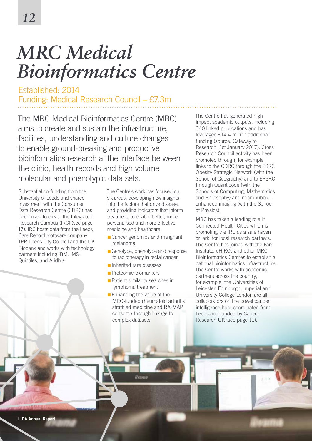## *MRC Medical Bioinformatics Centre*

Established: 2014 Funding: Medical Research Council – £7.3m

The MRC Medical Bioinformatics Centre (MBC) aims to create and sustain the infrastructure, facilities, understanding and culture changes to enable ground-breaking and productive bioinformatics research at the interface between the clinic, health records and high volume molecular and phenotypic data sets.

Substantial co-funding from the University of Leeds and shared investment with the Consumer Data Research Centre (CDRC) has been used to create the Integrated Research Campus (IRC) (see page 17). IRC hosts data from the Leeds Care Record, software company TPP, Leeds City Council and the UK Biobank and works with technology partners including IBM, IMS-Quintiles, and Aridhia.

The Centre's work has focused on six areas, developing new insights into the factors that drive disease, and providing indicators that inform treatment, to enable better, more personalised and more effective medicine and healthcare:

- Cancer genomics and malignant melanoma
- $\blacksquare$  Genotype, phenotype and response to radiotherapy in rectal cancer
- **n** Inherited rare diseases
- **n** Proteomic biomarkers
- $\blacksquare$  Patient similarity searches in lymphoma treatment

**Ilvama** 

 $\blacksquare$  Enhancing the value of the MRC-funded rheumatoid arthritis stratified medicine and RA-MAP consortia through linkage to complex datasets

The Centre has generated high impact academic outputs, including 340 linked publications and has leveraged £14.4 million additional funding (source: Gateway to Research, 1st January 2017). Cross Research Council activity has been promoted through, for example, links to the CDRC through the ESRC Obesity Strategic Network (with the School of Geography) and to EPSRC through Quanticode (with the Schools of Computing, Mathematics and Philosophy) and microbubbleenhanced imaging (with the School of Physics).

MBC has taken a leading role in Connected Health Cities which is promoting the IRC as a safe haven or 'ark' for local research partners. The Centre has joined with the Farr Institute, eHIRCs and other MRC Bioinformatics Centres to establish a national bioinformatics infrastructure. The Centre works with academic partners across the country; for example, the Universities of Leicester, Edinburgh, Imperial and University College London are all collaborators on the bowel cancer intelligence hub, coordinated from Leeds and funded by Cancer Research UK (see page 11).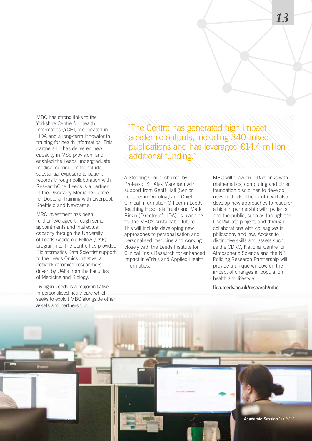MBC has strong links to the Yorkshire Centre for Health Informatics (YCHI), co-located in LIDA and a long-term innovator in training for health informatics. This partnership has delivered new capacity in MSc provision, and enabled the Leeds undergraduate medical curriculum to include substantial exposure to patient records through collaboration with ResearchOne. Leeds is a partner in the Discovery Medicine Centre for Doctoral Training with Liverpool. Sheffield and Newcastle.

MRC investment has been further leveraged through senior appointments and intellectual capacity through the University of Leeds Academic Fellow (UAF) programme. The Centre has provided Bioinformatics Data Scientist support to the Leeds Omics initiative, a network of 'omics' researchers driven by UAFs from the Faculties of Medicine and Biology.

Living in Leeds is a major initiative in personalised healthcare which seeks to exploit MBC alongside other assets and partnerships.

**Ilyama** 

"The Centre has generated high impact academic outputs, including 340 linked publications and has leveraged £14.4 million additional funding."

A Steering Group, chaired by Professor Sir Alex Markham with support from Geoff Hall (Senior Lecturer in Oncology and Chief Clinical Information Officer in Leeds Teaching Hospitals Trust) and Mark Birkin (Director of LIDA), is planning for the MBC's sustainable future. This will include developing new approaches to personalisation and personalised medicine and working closely with the Leeds Institute for Clinical Trials Research for enhanced impact in eTrials and Applied Health Informatics.

MBC will draw on LIDA's links with mathematics, computing and other foundation disciplines to develop new methods. The Centre will also develop new approaches to research ethics in partnership with patients and the public, such as through the UseMyData project, and through collaborations with colleagues in philosophy and law. Access to distinctive skills and assets such as the CDRC, National Centre for Atmospheric Science and the N8 Policing Research Partnership will provide a unique window on the impact of changes in population health and lifestyle.

**lida.leeds.ac.uk/research/mbc**

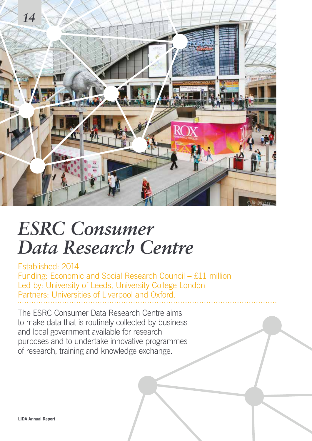

### *ESRC Consumer Data Research Centre*

Established: 2014 Funding: Economic and Social Research Council – £11 million Led by: University of Leeds, University College London Partners: Universities of Liverpool and Oxford.

The ESRC Consumer Data Research Centre aims to make data that is routinely collected by business and local government available for research purposes and to undertake innovative programmes of research, training and knowledge exchange.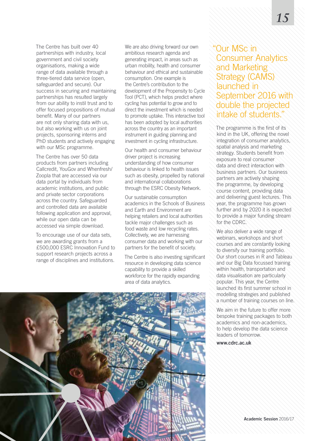The Centre has built over 40 partnerships with industry, local government and civil society organisations, making a wide range of data available through a three-tiered data service (open, safeguarded and secure). Our success in securing and maintaining partnerships has resulted largely from our ability to instil trust and to offer focused propositions of mutual benefit. Many of our partners are not only sharing data with us, but also working with us on joint projects, sponsoring interns and PhD students and actively engaging with our MSc programme.

The Centre has over 50 data products from partners including Callcredit, YouGov and Whenfresh/ Zoopla that are accessed via our data portal by individuals from academic institutions, and public and private sector corporations across the country. Safeguarded and controlled data are available following application and approval, while our open data can be accessed via simple download.

To encourage use of our data sets, we are awarding grants from a £500,000 ESRC Innovation Fund to support research projects across a range of disciplines and institutions.

We are also driving forward our own ambitious research agenda and generating impact, in areas such as urban mobility, health and consumer behaviour and ethical and sustainable consumption. One example is the Centre's contribution to the development of the Propensity to Cycle Tool (PCT), which helps predict where cycling has potential to grow and to direct the investment which is needed to promote uptake. This interactive tool has been adopted by local authorities across the country as an important instrument in guiding planning and investment in cycling infrastructure.

Our health and consumer behaviour driver project is increasing understanding of how consumer behaviour is linked to health issues such as obesity, propelled by national and international collaborations through the ESRC Obesity Network.

Our sustainable consumption academics in the Schools of Business and Earth and Environment are helping retailers and local authorities tackle major challenges such as food waste and low recycling rates. Collectively, we are harnessing consumer data and working with our partners for the benefit of society.

The Centre is also investing significant resource in developing data science capability to provide a skilled workforce for the rapidly expanding area of data analytics.

### "Our MSc in Consumer Analytics and Marketing Strategy (CAMS) launched in September 2016 with double the projected intake of students."

The programme is the first of its kind in the UK, offering the novel integration of consumer analytics, spatial analysis and marketing strategy. Students benefit from exposure to real consumer data and direct interaction with business partners. Our business partners are actively shaping the programme, by developing course content, providing data and delivering guest lectures. This year, the programme has grown further and by 2020 it is expected to provide a major funding stream for the CDRC.

We also deliver a wide range of webinars, workshops and short courses and are constantly looking to diversify our training portfolio. Our short courses in R and Tableau and our Big Data focussed training within health, transportation and data visualisation are particularly popular. This year, the Centre launched its first summer school in modelling strategies and published a number of training courses on line.

We aim in the future to offer more bespoke training packages to both academics and non-academics, to help develop the data science leaders of tomorrow.

**www.cdrc.ac.uk**

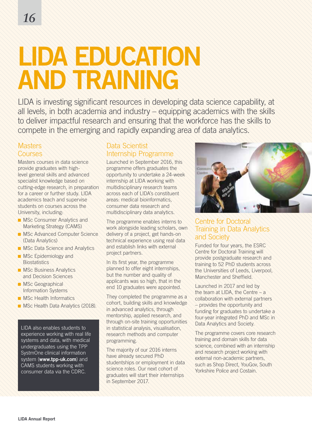# **LIDA EDUCATION AND TRAINING**

LIDA is investing significant resources in developing data science capability, at all levels, in both academia and industry – equipping academics with the skills to deliver impactful research and ensuring that the workforce has the skills to compete in the emerging and rapidly expanding area of data analytics.

### **Masters** Courses

Masters courses in data science provide graduates with highlevel general skills and advanced specialist knowledge based on cutting-edge research, in preparation for a career or further study. LIDA academics teach and supervise students on courses across the University, including:

- **n** MSc Consumer Analytics and Marketing Strategy (CAMS)
- **n** MSc Advanced Computer Science (Data Analytics)
- **NSC Data Science and Analytics**
- **n** MSc Epidemiology and **Biostatistics**
- **n** MSc Business Analytics and Decision Sciences
- **NSc Geographical** Information Systems
- **n** MSc Health Informatics
- **NSc Health Data Analytics (2018).**

LIDA also enables students to experience working with real life systems and data, with medical undergraduates using the TPP SystmOne clinical information system (**www.tpp-uk.com**) and CAMS students working with consumer data via the CDRC.

### Data Scientist Internship Programme

Launched in September 2016, this programme offers graduates the opportunity to undertake a 24-week internship at LIDA working with multidisciplinary research teams across each of LIDA's constituent areas: medical bioinformatics, consumer data research and multidisciplinary data analytics.

The programme enables interns to work alongside leading scholars, own delivery of a project, get hands-on technical experience using real data and establish links with external project partners.

In its first year, the programme planned to offer eight internships, but the number and quality of applicants was so high, that in the end 10 graduates were appointed.

They completed the programme as a cohort, building skills and knowledge in advanced analytics, through mentorship, applied research, and through on-site training opportunities in statistical analysis, visualisation, research methods and computer programming.

The majority of our 2016 interns have already secured PhD studentships or employment in data science roles. Our next cohort of graduates will start their internships in September 2017.



### Centre for Doctoral Training in Data Analytics and Society

Funded for four years, the ESRC Centre for Doctoral Training will provide postgraduate research and training to 52 PhD students across the Universities of Leeds, Liverpool, Manchester and Sheffield.

Launched in 2017 and led by the team at LIDA, the Centre – a collaboration with external partners – provides the opportunity and funding for graduates to undertake a four-year integrated PhD and MSc in Data Analytics and Society.

The programme covers core research training and domain skills for data science, combined with an internship and research project working with external non-academic partners, such as Shop Direct, YouGov, South Yorkshire Police and Costain.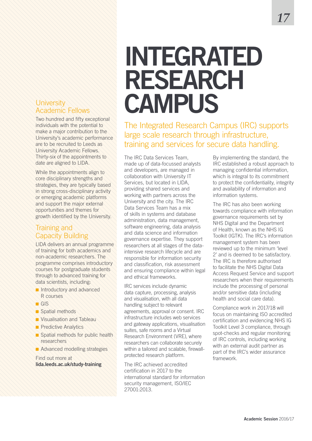### **University** Academic Fellows

Two hundred and fifty exceptional individuals with the potential to make a major contribution to the University's academic performance are to be recruited to Leeds as University Academic Fellows. Thirty-six of the appointments to date are aligned to LIDA.

While the appointments align to core disciplinary strengths and strategies, they are typically based in strong cross-disciplinary activity or emerging academic platforms and support the major external opportunities and themes for growth identified by the University.

### Training and Capacity Building

LIDA delivers an annual programme of training for both academics and non-academic researchers. The programme comprises introductory courses for postgraduate students through to advanced training for data scientists, including:

- n Introductory and advanced R courses
- $GIS$
- Spatial methods
- n Visualisation and Tableau
- **n** Predictive Analytics
- spatial methods for public health researchers
- **n** Advanced modelling strategies

Find out more at **lida.leeds.ac.uk/study-training**

## **INTEGRATED RESEARCH CAMPUS**

The Integrated Research Campus (IRC) supports large scale research through infrastructure, training and services for secure data handling.

The IRC Data Services Team, made up of data-focussed analysts and developers, are managed in collaboration with University IT Services, but located in LIDA, providing shared services and working with partners across the University and the city. The IRC Data Services Team has a mix of skills in systems and database administration, data management, software engineering, data analysis and data science and information governance expertise. They support researchers at all stages of the dataintensive research lifecycle and are responsible for information security and classification, risk assessment and ensuring compliance within legal and ethical frameworks.

IRC services include dynamic data capture, processing, analysis and visualisation, with all data handling subject to relevant agreements, approval or consent. IRC infrastructure includes web services and gateway applications, visualisation suites, safe rooms and a Virtual Research Environment (VRE), where researchers can collaborate securely within a tailored and scalable, firewallprotected research platform.

The IRC achieved accredited certification in 2017 to the international standard for information security management, ISO/IEC 27001:2013.

By implementing the standard, the IRC established a robust approach to managing confidential information, which is integral to its commitment to protect the confidentiality, integrity and availability of information and information systems.

The IRC has also been working towards compliance with information governance requirements set by NHS Digital and the Department of Health, known as the NHS IG Toolkit (IGTK). The IRC's information management system has been reviewed up to the minimum 'level 2' and is deemed to be satisfactory. The IRC is therefore authorised to facilitate the NHS Digital Data Access Request Service and support researchers when their requirements include the processing of personal and/or sensitive data (including health and social care data).

Compliance work in 2017/18 will focus on maintaining ISO accredited certification and evidencing NHS IG Toolkit Level 3 compliance, through spot-checks and regular monitoring of IRC controls, including working with an external audit partner as part of the IRC's wider assurance framework.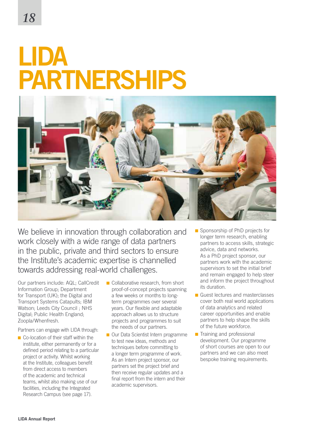## **LIDA PARTNERSHIPS**



We believe in innovation through collaboration and work closely with a wide range of data partners in the public, private and third sectors to ensure the Institute's academic expertise is channelled towards addressing real-world challenges.

Our partners include: AQL; CallCredit Information Group; Department for Transport (UK); the Digital and Transport Systems Catapults; IBM Watson; Leeds City Council ; NHS Digital; Public Health England; Zoopla/Whenfresh.

Partners can engage with LIDA through:

- $\blacksquare$  Co-location of their staff within the institute, either permanently or for a defined period relating to a particular project or activity. Whilst working at the Institute, colleagues benefit from direct access to members of the academic and technical teams, whilst also making use of our facilities, including the Integrated Research Campus (see page 17).
- $\blacksquare$  Collaborative research, from short proof-of-concept projects spanning a few weeks or months to longterm programmes over several years. Our flexible and adaptable approach allows us to structure projects and programmes to suit the needs of our partners.
- Our Data Scientist Intern programme to test new ideas, methods and techniques before committing to a longer term programme of work. As an Intern project sponsor, our partners set the project brief and then receive regular updates and a final report from the intern and their academic supervisors.
- Sponsorship of PhD projects for longer term research, enabling partners to access skills, strategic advice, data and networks. As a PhD project sponsor, our partners work with the academic supervisors to set the initial brief and remain engaged to help steer and inform the project throughout its duration.
- $\blacksquare$  Guest lectures and masterclasses cover both real world applications of data analytics and related career opportunities and enable partners to help shape the skills of the future workforce.
- $\blacksquare$  Training and professional development. Our programme of short courses are open to our partners and we can also meet bespoke training requirements.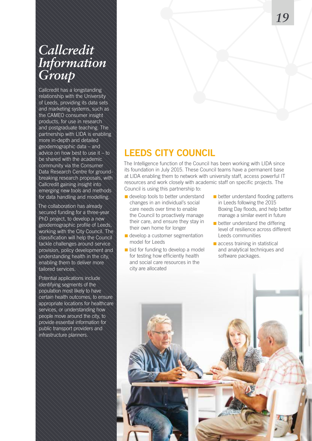### *Callcredit Information Group*

Callcredit has a longstanding relationship with the University of Leeds, providing its data sets and marketing systems, such as the CAMEO consumer insight products, for use in research and postgraduate teaching. The partnership with LIDA is enabling more in-depth and detailed geodemographic data – and advice on how best to use it  $-$  to be shared with the academic community via the Consumer Data Research Centre for groundbreaking research proposals, with Callcredit gaining insight into emerging new tools and methods for data handling and modelling.

The collaboration has already secured funding for a three-year PhD project, to develop a new geodemographic profile of Leeds, working with the City Council. The classification will help the Council tackle challenges around service provision, policy development and understanding health in the city, enabling them to deliver more tailored services.

Potential applications include identifying segments of the population most likely to have certain health outcomes, to ensure appropriate locations for healthcare services, or understanding how people move around the city, to provide essential information for public transport providers and infrastructure planners.

### **LEEDS CITY COUNCIL**

The Intelligence function of the Council has been working with LIDA since its foundation in July 2015. These Council teams have a permanent base at LIDA enabling them to network with university staff, access powerful IT resources and work closely with academic staff on specific projects. The Council is using this partnership to:

- $\blacksquare$  develop tools to better understand changes in an individual's social care needs over time to enable the Council to proactively manage their care, and ensure they stay in their own home for longer
- $\blacksquare$  develop a customer segmentation model for Leeds
- $\blacksquare$  bid for funding to develop a model for testing how efficiently health and social care resources in the city are allocated
- $\blacksquare$  better understand flooding patterns in Leeds following the 2015 Boxing Day floods, and help better manage a similar event in future
- $\blacksquare$  better understand the differing level of resilience across different Leeds communities
- $\blacksquare$  access training in statistical and analytical techniques and software packages.